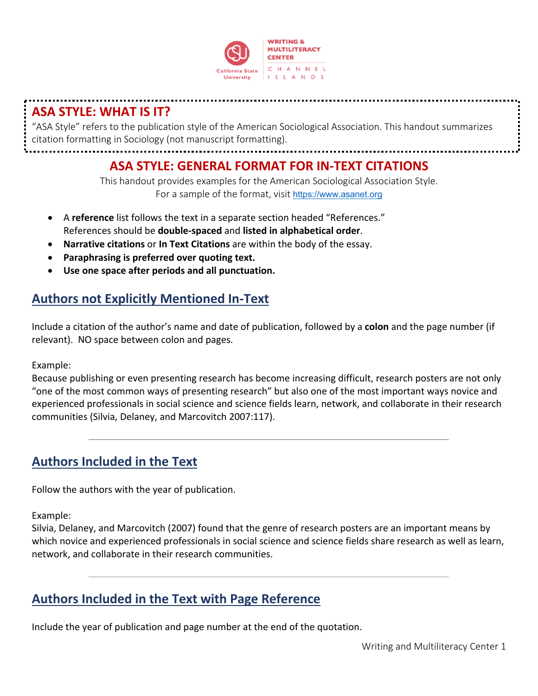

# **ASA STYLE: WHAT IS IT?**

"ASA Style" refers to the publication style of the American Sociological Association. This handout summarizes citation formatting in Sociology (not manuscript formatting).

**ASA STYLE: GENERAL FORMAT FOR IN-TEXT CITATIONS**

This handout provides examples for the American Sociological Association Style. For a sample of the format, visit https://www.asanet.org

- A **reference** list follows the text in a separate section headed "References." References should be **double-spaced** and **listed in alphabetical order**.
- **Narrative citations** or **In Text Citations** are within the body of the essay.
- **Paraphrasing is preferred over quoting text.**
- **Use one space after periods and all punctuation.**

# **Authors not Explicitly Mentioned In-Text**

Include a citation of the author's name and date of publication, followed by a **colon** and the page number (if relevant). NO space between colon and pages.

Example:

Because publishing or even presenting research has become increasing difficult, research posters are not only "one of the most common ways of presenting research" but also one of the most important ways novice and experienced professionals in social science and science fields learn, network, and collaborate in their research communities (Silvia, Delaney, and Marcovitch 2007:117).

# **Authors Included in the Text**

Follow the authors with the year of publication.

Example:

Silvia, Delaney, and Marcovitch (2007) found that the genre of research posters are an important means by which novice and experienced professionals in social science and science fields share research as well as learn, network, and collaborate in their research communities.

# **Authors Included in the Text with Page Reference**

Include the year of publication and page number at the end of the quotation.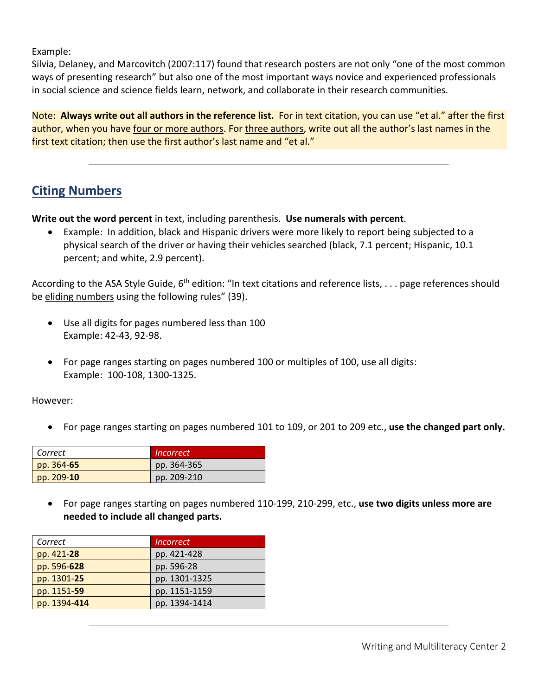Example:

Silvia, Delaney, and Marcovitch (2007:117) found that research posters are not only "one of the most common ways of presenting research" but also one of the most important ways novice and experienced professionals in social science and science fields learn, network, and collaborate in their research communities.

Note: **Always write out all authors in the reference list.** For in text citation, you can use "et al." after the first author, when you have four or more authors. For three authors, write out all the author's last names in the first text citation; then use the first author's last name and "et al."

## **Citing Numbers**

**Write out the word percent** in text, including parenthesis. **Use numerals with percent**.

• Example: In addition, black and Hispanic drivers were more likely to report being subjected to a physical search of the driver or having their vehicles searched (black, 7.1 percent; Hispanic, 10.1 percent; and white, 2.9 percent).

According to the ASA Style Guide,  $6^{th}$  edition: "In text citations and reference lists, ... page references should be eliding numbers using the following rules" (39).

- Use all digits for pages numbered less than 100 Example: 42-43, 92-98.
- For page ranges starting on pages numbered 100 or multiples of 100, use all digits: Example: 100-108, 1300-1325.

However:

• For page ranges starting on pages numbered 101 to 109, or 201 to 209 etc., **use the changed part only.**

| Correct      | <i>Incorrect</i> |
|--------------|------------------|
| pp. 364-65   | pp. 364-365      |
| pp. $209-10$ | pp. 209-210      |

• For page ranges starting on pages numbered 110-199, 210-299, etc., **use two digits unless more are needed to include all changed parts.**

| Correct      | <i><u><b>Incorrect</b></u></i> |
|--------------|--------------------------------|
| pp. 421-28   | pp. 421-428                    |
| pp. 596-628  | pp. 596-28                     |
| pp. 1301-25  | pp. 1301-1325                  |
| pp. 1151-59  | pp. 1151-1159                  |
| pp. 1394-414 | pp. 1394-1414                  |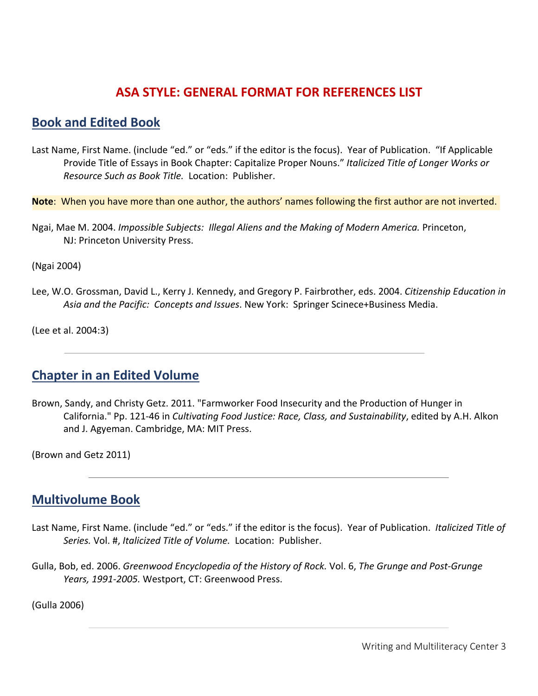## **ASA STYLE: GENERAL FORMAT FOR REFERENCES LIST**

### **Book and Edited Book**

Last Name, First Name. (include "ed." or "eds." if the editor is the focus). Year of Publication. "If Applicable Provide Title of Essays in Book Chapter: Capitalize Proper Nouns." *Italicized Title of Longer Works or Resource Such as Book Title.* Location: Publisher.

**Note**: When you have more than one author, the authors' names following the first author are not inverted.

Ngai, Mae M. 2004. *Impossible Subjects: Illegal Aliens and the Making of Modern America.* Princeton, NJ: Princeton University Press.

(Ngai 2004)

Lee, W.O. Grossman, David L., Kerry J. Kennedy, and Gregory P. Fairbrother, eds. 2004. *Citizenship Education in Asia and the Pacific: Concepts and Issues*. New York: Springer Scinece+Business Media.

(Lee et al. 2004:3)

## **Chapter in an Edited Volume**

Brown, Sandy, and Christy Getz. 2011. "Farmworker Food Insecurity and the Production of Hunger in California." Pp. 121-46 in *Cultivating Food Justice: Race, Class, and Sustainability*, edited by A.H. Alkon and J. Agyeman. Cambridge, MA: MIT Press.

(Brown and Getz 2011)

### **Multivolume Book**

- Last Name, First Name. (include "ed." or "eds." if the editor is the focus). Year of Publication. *Italicized Title of Series.* Vol. #, *Italicized Title of Volume.* Location: Publisher.
- Gulla, Bob, ed. 2006. *Greenwood Encyclopedia of the History of Rock.* Vol. 6, *The Grunge and Post-Grunge Years, 1991-2005.* Westport, CT: Greenwood Press.

(Gulla 2006)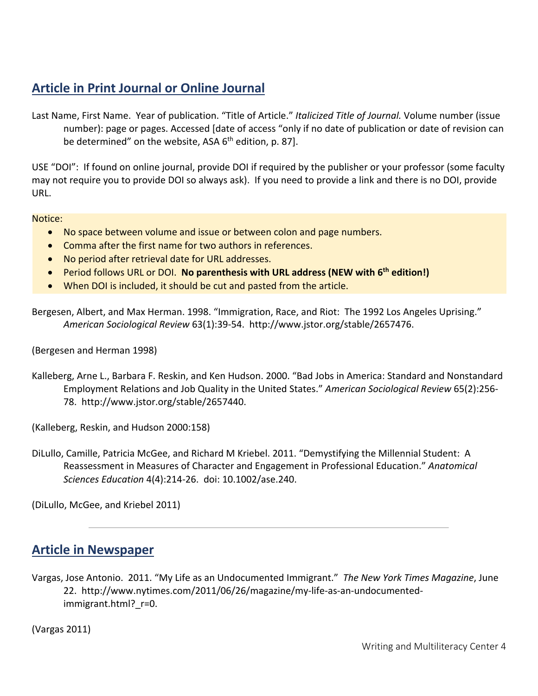# **Article in Print Journal or Online Journal**

Last Name, First Name. Year of publication. "Title of Article." *Italicized Title of Journal.* Volume number (issue number): page or pages. Accessed [date of access "only if no date of publication or date of revision can be determined" on the website, ASA  $6<sup>th</sup>$  edition, p. 87].

USE "DOI": If found on online journal, provide DOI if required by the publisher or your professor (some faculty may not require you to provide DOI so always ask). If you need to provide a link and there is no DOI, provide URL.

Notice:

- No space between volume and issue or between colon and page numbers.
- Comma after the first name for two authors in references.
- No period after retrieval date for URL addresses.
- Period follows URL or DOI. **No parenthesis with URL address (NEW with 6th edition!)**
- When DOI is included, it should be cut and pasted from the article.

Bergesen, Albert, and Max Herman. 1998. "Immigration, Race, and Riot: The 1992 Los Angeles Uprising." *American Sociological Review* 63(1):39-54. http://www.jstor.org/stable/2657476.

(Bergesen and Herman 1998)

Kalleberg, Arne L., Barbara F. Reskin, and Ken Hudson. 2000. "Bad Jobs in America: Standard and Nonstandard Employment Relations and Job Quality in the United States." *American Sociological Review* 65(2):256- 78. http://www.jstor.org/stable/2657440.

(Kalleberg, Reskin, and Hudson 2000:158)

DiLullo, Camille, Patricia McGee, and Richard M Kriebel. 2011. "Demystifying the Millennial Student: A Reassessment in Measures of Character and Engagement in Professional Education." *Anatomical Sciences Education* 4(4):214-26. doi: 10.1002/ase.240.

(DiLullo, McGee, and Kriebel 2011)

### **Article in Newspaper**

Vargas, Jose Antonio. 2011. "My Life as an Undocumented Immigrant." *The New York Times Magazine*, June 22. http://www.nytimes.com/2011/06/26/magazine/my-life-as-an-undocumentedimmigrant.html? r=0.

(Vargas 2011)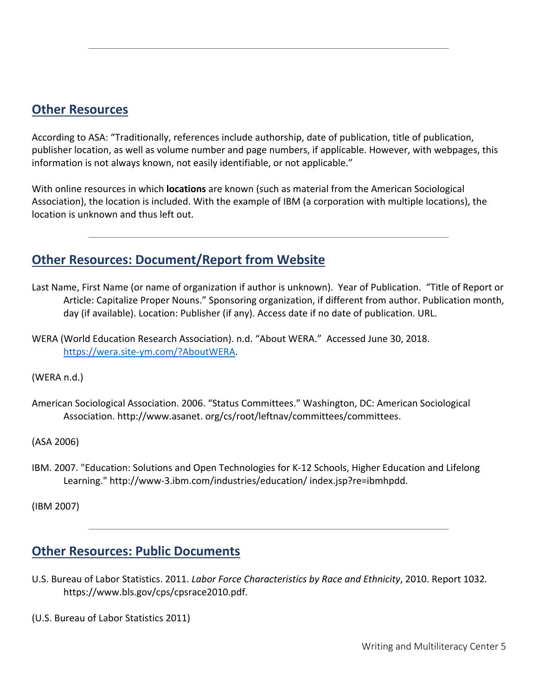#### **Other Resources**

According to ASA: "Traditionally, references include authorship, date of publication, title of publication, publisher location, as well as volume number and page numbers, if applicable. However, with webpages, this information is not always known, not easily identifiable, or not applicable."

With online resources in which **locations** are known (such as material from the American Sociological Association), the location is included. With the example of IBM (a corporation with multiple locations), the location is unknown and thus left out.

# **Other Resources: Document/Report from Website**

- Last Name, First Name (or name of organization if author is unknown). Year of Publication. "Title of Report or Article: Capitalize Proper Nouns." Sponsoring organization, if different from author. Publication month, day (if available). Location: Publisher (if any). Access date if no date of publication. URL.
- WERA (World Education Research Association). n.d. "About WERA." Accessed June 30, 2018. https://wera.site-ym.com/?AboutWERA.

(WERA n.d.)

American Sociological Association. 2006. "Status Committees." Washington, DC: American Sociological Association. http://www.asanet. org/cs/root/leftnav/committees/committees.

(ASA 2006)

IBM. 2007. "Education: Solutions and Open Technologies for K-12 Schools, Higher Education and Lifelong Learning." http://www-3.ibm.com/industries/education/ index.jsp?re=ibmhpdd.

(IBM 2007)

### **Other Resources: Public Documents**

- U.S. Bureau of Labor Statistics. 2011. *Labor Force Characteristics by Race and Ethnicity*, 2010. Report 1032*.*  https://www.bls.gov/cps/cpsrace2010.pdf.
- (U.S. Bureau of Labor Statistics 2011)